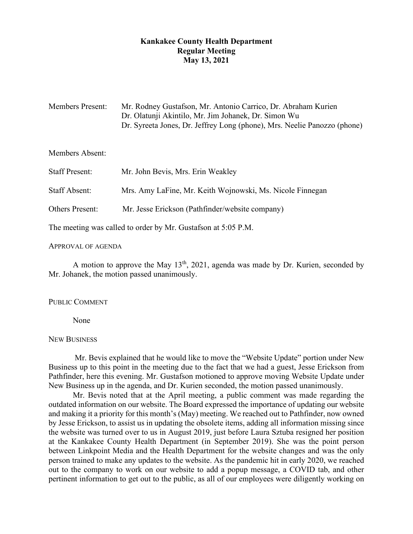# **Kankakee County Health Department Regular Meeting May 13, 2021**

| <b>Members Present:</b> | Mr. Rodney Gustafson, Mr. Antonio Carrico, Dr. Abraham Kurien            |
|-------------------------|--------------------------------------------------------------------------|
|                         | Dr. Olatunji Akintilo, Mr. Jim Johanek, Dr. Simon Wu                     |
|                         | Dr. Syreeta Jones, Dr. Jeffrey Long (phone), Mrs. Neelie Panozzo (phone) |

# Members Absent:

| <b>Staff Present:</b> | Mr. John Bevis, Mrs. Erin Weakley                         |
|-----------------------|-----------------------------------------------------------|
| Staff Absent:         | Mrs. Amy LaFine, Mr. Keith Wojnowski, Ms. Nicole Finnegan |
| Others Present:       | Mr. Jesse Erickson (Pathfinder/website company)           |

The meeting was called to order by Mr. Gustafson at 5:05 P.M.

## APPROVAL OF AGENDA

A motion to approve the May  $13<sup>th</sup>$ , 2021, agenda was made by Dr. Kurien, seconded by Mr. Johanek, the motion passed unanimously.

# PUBLIC COMMENT

None

# NEW BUSINESS

Mr. Bevis explained that he would like to move the "Website Update" portion under New Business up to this point in the meeting due to the fact that we had a guest, Jesse Erickson from Pathfinder, here this evening. Mr. Gustafson motioned to approve moving Website Update under New Business up in the agenda, and Dr. Kurien seconded, the motion passed unanimously.

Mr. Bevis noted that at the April meeting, a public comment was made regarding the outdated information on our website. The Board expressed the importance of updating our website and making it a priority for this month's (May) meeting. We reached out to Pathfinder, now owned by Jesse Erickson, to assist us in updating the obsolete items, adding all information missing since the website was turned over to us in August 2019, just before Laura Sztuba resigned her position at the Kankakee County Health Department (in September 2019). She was the point person between Linkpoint Media and the Health Department for the website changes and was the only person trained to make any updates to the website. As the pandemic hit in early 2020, we reached out to the company to work on our website to add a popup message, a COVID tab, and other pertinent information to get out to the public, as all of our employees were diligently working on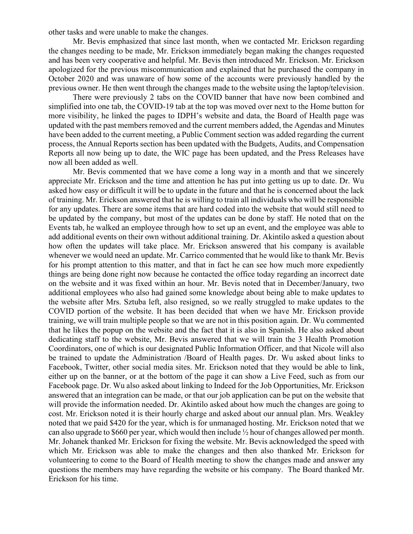other tasks and were unable to make the changes.

Mr. Bevis emphasized that since last month, when we contacted Mr. Erickson regarding the changes needing to be made, Mr. Erickson immediately began making the changes requested and has been very cooperative and helpful. Mr. Bevis then introduced Mr. Erickson. Mr. Erickson apologized for the previous miscommunication and explained that he purchased the company in October 2020 and was unaware of how some of the accounts were previously handled by the previous owner. He then went through the changes made to the website using the laptop/television.

There were previously 2 tabs on the COVID banner that have now been combined and simplified into one tab, the COVID-19 tab at the top was moved over next to the Home button for more visibility, he linked the pages to IDPH's website and data, the Board of Health page was updated with the past members removed and the current members added, the Agendas and Minutes have been added to the current meeting, a Public Comment section was added regarding the current process, the Annual Reports section has been updated with the Budgets, Audits, and Compensation Reports all now being up to date, the WIC page has been updated, and the Press Releases have now all been added as well.

Mr. Bevis commented that we have come a long way in a month and that we sincerely appreciate Mr. Erickson and the time and attention he has put into getting us up to date. Dr. Wu asked how easy or difficult it will be to update in the future and that he is concerned about the lack of training. Mr. Erickson answered that he is willing to train all individuals who will be responsible for any updates. There are some items that are hard coded into the website that would still need to be updated by the company, but most of the updates can be done by staff. He noted that on the Events tab, he walked an employee through how to set up an event, and the employee was able to add additional events on their own without additional training. Dr. Akintilo asked a question about how often the updates will take place. Mr. Erickson answered that his company is available whenever we would need an update. Mr. Carrico commented that he would like to thank Mr. Bevis for his prompt attention to this matter, and that in fact he can see how much more expediently things are being done right now because he contacted the office today regarding an incorrect date on the website and it was fixed within an hour. Mr. Bevis noted that in December/January, two additional employees who also had gained some knowledge about being able to make updates to the website after Mrs. Sztuba left, also resigned, so we really struggled to make updates to the COVID portion of the website. It has been decided that when we have Mr. Erickson provide training, we will train multiple people so that we are not in this position again. Dr. Wu commented that he likes the popup on the website and the fact that it is also in Spanish. He also asked about dedicating staff to the website, Mr. Bevis answered that we will train the 3 Health Promotion Coordinators, one of which is our designated Public Information Officer, and that Nicole will also be trained to update the Administration /Board of Health pages. Dr. Wu asked about links to Facebook, Twitter, other social media sites. Mr. Erickson noted that they would be able to link, either up on the banner, or at the bottom of the page it can show a Live Feed, such as from our Facebook page. Dr. Wu also asked about linking to Indeed for the Job Opportunities, Mr. Erickson answered that an integration can be made, or that our job application can be put on the website that will provide the information needed. Dr. Akintilo asked about how much the changes are going to cost. Mr. Erickson noted it is their hourly charge and asked about our annual plan. Mrs. Weakley noted that we paid \$420 for the year, which is for unmanaged hosting. Mr. Erickson noted that we can also upgrade to \$660 per year, which would then include ½ hour of changes allowed per month. Mr. Johanek thanked Mr. Erickson for fixing the website. Mr. Bevis acknowledged the speed with which Mr. Erickson was able to make the changes and then also thanked Mr. Erickson for volunteering to come to the Board of Health meeting to show the changes made and answer any questions the members may have regarding the website or his company. The Board thanked Mr. Erickson for his time.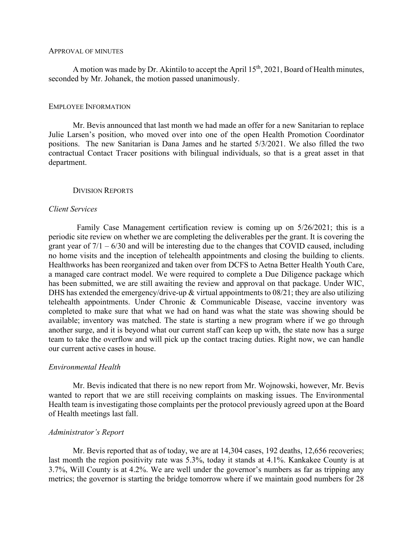#### APPROVAL OF MINUTES

A motion was made by Dr. Akintilo to accept the April  $15<sup>th</sup>$ , 2021, Board of Health minutes, seconded by Mr. Johanek, the motion passed unanimously.

#### EMPLOYEE INFORMATION

Mr. Bevis announced that last month we had made an offer for a new Sanitarian to replace Julie Larsen's position, who moved over into one of the open Health Promotion Coordinator positions. The new Sanitarian is Dana James and he started 5/3/2021. We also filled the two contractual Contact Tracer positions with bilingual individuals, so that is a great asset in that department.

### DIVISION REPORTS

#### *Client Services*

 Family Case Management certification review is coming up on 5/26/2021; this is a periodic site review on whether we are completing the deliverables per the grant. It is covering the grant year of  $7/1 - 6/30$  and will be interesting due to the changes that COVID caused, including no home visits and the inception of telehealth appointments and closing the building to clients. Healthworks has been reorganized and taken over from DCFS to Aetna Better Health Youth Care, a managed care contract model. We were required to complete a Due Diligence package which has been submitted, we are still awaiting the review and approval on that package. Under WIC, DHS has extended the emergency/drive-up & virtual appointments to 08/21; they are also utilizing telehealth appointments. Under Chronic & Communicable Disease, vaccine inventory was completed to make sure that what we had on hand was what the state was showing should be available; inventory was matched. The state is starting a new program where if we go through another surge, and it is beyond what our current staff can keep up with, the state now has a surge team to take the overflow and will pick up the contact tracing duties. Right now, we can handle our current active cases in house.

### *Environmental Health*

Mr. Bevis indicated that there is no new report from Mr. Wojnowski, however, Mr. Bevis wanted to report that we are still receiving complaints on masking issues. The Environmental Health team is investigating those complaints per the protocol previously agreed upon at the Board of Health meetings last fall.

### *Administrator's Report*

Mr. Bevis reported that as of today, we are at 14,304 cases, 192 deaths, 12,656 recoveries; last month the region positivity rate was 5.3%, today it stands at 4.1%. Kankakee County is at 3.7%, Will County is at 4.2%. We are well under the governor's numbers as far as tripping any metrics; the governor is starting the bridge tomorrow where if we maintain good numbers for 28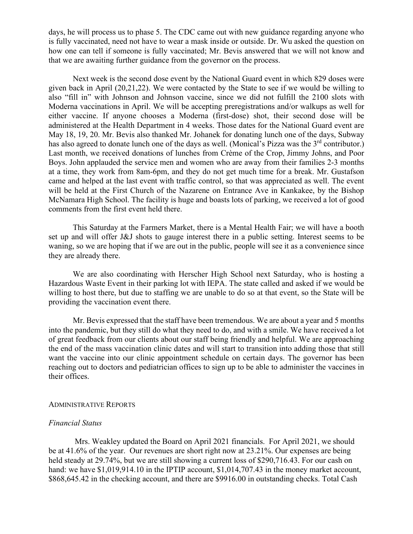days, he will process us to phase 5. The CDC came out with new guidance regarding anyone who is fully vaccinated, need not have to wear a mask inside or outside. Dr. Wu asked the question on how one can tell if someone is fully vaccinated; Mr. Bevis answered that we will not know and that we are awaiting further guidance from the governor on the process.

Next week is the second dose event by the National Guard event in which 829 doses were given back in April (20,21,22). We were contacted by the State to see if we would be willing to also "fill in" with Johnson and Johnson vaccine, since we did not fulfill the 2100 slots with Moderna vaccinations in April. We will be accepting preregistrations and/or walkups as well for either vaccine. If anyone chooses a Moderna (first-dose) shot, their second dose will be administered at the Health Department in 4 weeks. Those dates for the National Guard event are May 18, 19, 20. Mr. Bevis also thanked Mr. Johanek for donating lunch one of the days, Subway has also agreed to donate lunch one of the days as well. (Monical's Pizza was the 3<sup>rd</sup> contributor.) Last month, we received donations of lunches from Crème of the Crop, Jimmy Johns, and Poor Boys. John applauded the service men and women who are away from their families 2-3 months at a time, they work from 8am-6pm, and they do not get much time for a break. Mr. Gustafson came and helped at the last event with traffic control, so that was appreciated as well. The event will be held at the First Church of the Nazarene on Entrance Ave in Kankakee, by the Bishop McNamara High School. The facility is huge and boasts lots of parking, we received a lot of good comments from the first event held there.

This Saturday at the Farmers Market, there is a Mental Health Fair; we will have a booth set up and will offer J&J shots to gauge interest there in a public setting. Interest seems to be waning, so we are hoping that if we are out in the public, people will see it as a convenience since they are already there.

We are also coordinating with Herscher High School next Saturday, who is hosting a Hazardous Waste Event in their parking lot with IEPA. The state called and asked if we would be willing to host there, but due to staffing we are unable to do so at that event, so the State will be providing the vaccination event there.

Mr. Bevis expressed that the staff have been tremendous. We are about a year and 5 months into the pandemic, but they still do what they need to do, and with a smile. We have received a lot of great feedback from our clients about our staff being friendly and helpful. We are approaching the end of the mass vaccination clinic dates and will start to transition into adding those that still want the vaccine into our clinic appointment schedule on certain days. The governor has been reaching out to doctors and pediatrician offices to sign up to be able to administer the vaccines in their offices.

#### ADMINISTRATIVE REPORTS

# *Financial Status*

Mrs. Weakley updated the Board on April 2021 financials. For April 2021, we should be at 41.6% of the year. Our revenues are short right now at 23.21%. Our expenses are being held steady at 29.74%, but we are still showing a current loss of \$290,716.43. For our cash on hand: we have \$1,019,914.10 in the IPTIP account, \$1,014,707.43 in the money market account, \$868,645.42 in the checking account, and there are \$9916.00 in outstanding checks. Total Cash